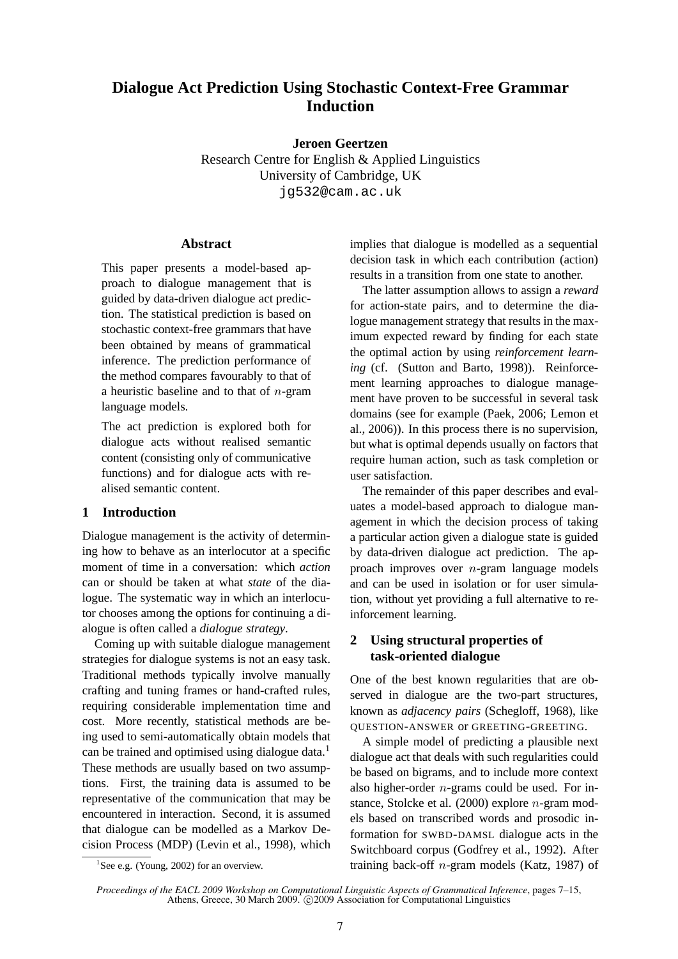# **Dialogue Act Prediction Using Stochastic Context-Free Grammar Induction**

**Jeroen Geertzen**

Research Centre for English & Applied Linguistics University of Cambridge, UK jg532@cam.ac.uk

## **Abstract**

This paper presents a model-based approach to dialogue management that is guided by data-driven dialogue act prediction. The statistical prediction is based on stochastic context-free grammars that have been obtained by means of grammatical inference. The prediction performance of the method compares favourably to that of a heuristic baseline and to that of  $n$ -gram language models.

The act prediction is explored both for dialogue acts without realised semantic content (consisting only of communicative functions) and for dialogue acts with realised semantic content.

## **1 Introduction**

Dialogue management is the activity of determining how to behave as an interlocutor at a specific moment of time in a conversation: which *action* can or should be taken at what *state* of the dialogue. The systematic way in which an interlocutor chooses among the options for continuing a dialogue is often called a *dialogue strategy*.

Coming up with suitable dialogue management strategies for dialogue systems is not an easy task. Traditional methods typically involve manually crafting and tuning frames or hand-crafted rules, requiring considerable implementation time and cost. More recently, statistical methods are being used to semi-automatically obtain models that can be trained and optimised using dialogue data.<sup>1</sup> These methods are usually based on two assumptions. First, the training data is assumed to be representative of the communication that may be encountered in interaction. Second, it is assumed that dialogue can be modelled as a Markov Decision Process (MDP) (Levin et al., 1998), which

implies that dialogue is modelled as a sequential decision task in which each contribution (action) results in a transition from one state to another.

The latter assumption allows to assign a *reward* for action-state pairs, and to determine the dialogue management strategy that results in the maximum expected reward by finding for each state the optimal action by using *reinforcement learning* (cf. (Sutton and Barto, 1998)). Reinforcement learning approaches to dialogue management have proven to be successful in several task domains (see for example (Paek, 2006; Lemon et al., 2006)). In this process there is no supervision, but what is optimal depends usually on factors that require human action, such as task completion or user satisfaction.

The remainder of this paper describes and evaluates a model-based approach to dialogue management in which the decision process of taking a particular action given a dialogue state is guided by data-driven dialogue act prediction. The approach improves over  $n$ -gram language models and can be used in isolation or for user simulation, without yet providing a full alternative to reinforcement learning.

## **2 Using structural properties of task-oriented dialogue**

One of the best known regularities that are observed in dialogue are the two-part structures, known as *adjacency pairs* (Schegloff, 1968), like QUESTION-ANSWER or GREETING-GREETING.

A simple model of predicting a plausible next dialogue act that deals with such regularities could be based on bigrams, and to include more context also higher-order  $n$ -grams could be used. For instance, Stolcke et al. (2000) explore n-gram models based on transcribed words and prosodic information for SWBD-DAMSL dialogue acts in the Switchboard corpus (Godfrey et al., 1992). After training back-off  $n$ -gram models (Katz, 1987) of

<sup>&</sup>lt;sup>1</sup>See e.g. (Young, 2002) for an overview.

*Proceedings of the EACL 2009 Workshop on Computational Linguistic Aspects of Grammatical Inference*, pages 7–15, Athens, Greece, 30 March 2009. ©2009 Association for Computational Linguistics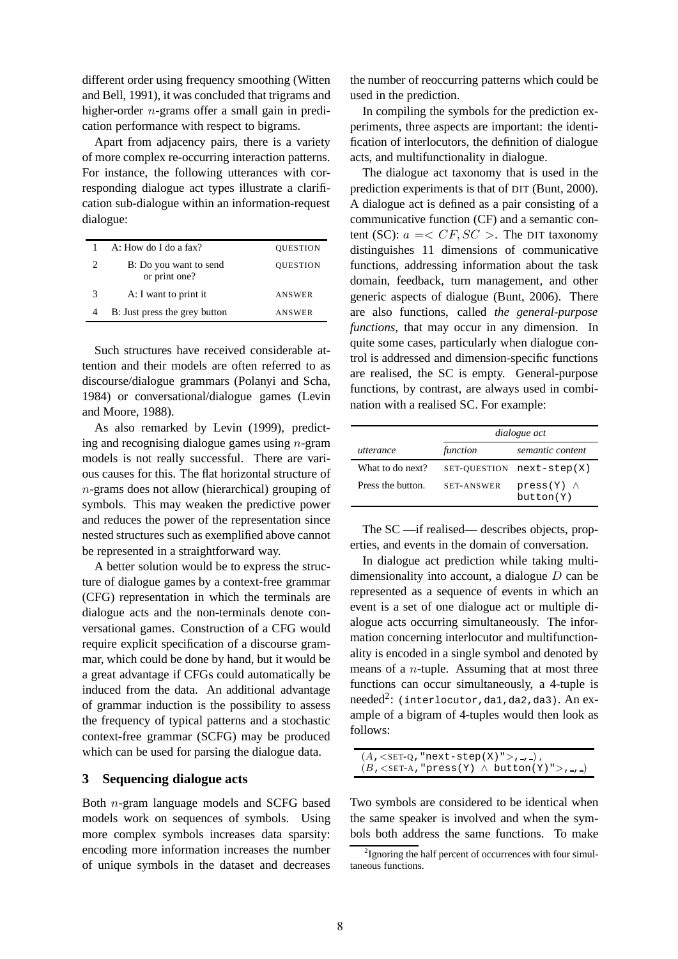different order using frequency smoothing (Witten and Bell, 1991), it was concluded that trigrams and higher-order n-grams offer a small gain in predication performance with respect to bigrams.

Apart from adjacency pairs, there is a variety of more complex re-occurring interaction patterns. For instance, the following utterances with corresponding dialogue act types illustrate a clarification sub-dialogue within an information-request dialogue:

|   | A: How do I do a fax?                   | <b>QUESTION</b> |
|---|-----------------------------------------|-----------------|
| 2 | B: Do you want to send<br>or print one? | <b>QUESTION</b> |
| 3 | A: I want to print it                   | <b>ANSWER</b>   |
|   | B: Just press the grey button           | ANSWER          |

Such structures have received considerable attention and their models are often referred to as discourse/dialogue grammars (Polanyi and Scha, 1984) or conversational/dialogue games (Levin and Moore, 1988).

As also remarked by Levin (1999), predicting and recognising dialogue games using  $n$ -gram models is not really successful. There are various causes for this. The flat horizontal structure of n-grams does not allow (hierarchical) grouping of symbols. This may weaken the predictive power and reduces the power of the representation since nested structures such as exemplified above cannot be represented in a straightforward way.

A better solution would be to express the structure of dialogue games by a context-free grammar (CFG) representation in which the terminals are dialogue acts and the non-terminals denote conversational games. Construction of a CFG would require explicit specification of a discourse grammar, which could be done by hand, but it would be a great advantage if CFGs could automatically be induced from the data. An additional advantage of grammar induction is the possibility to assess the frequency of typical patterns and a stochastic context-free grammar (SCFG) may be produced which can be used for parsing the dialogue data.

### **3 Sequencing dialogue acts**

Both n-gram language models and SCFG based models work on sequences of symbols. Using more complex symbols increases data sparsity: encoding more information increases the number of unique symbols in the dataset and decreases the number of reoccurring patterns which could be used in the prediction.

In compiling the symbols for the prediction experiments, three aspects are important: the identification of interlocutors, the definition of dialogue acts, and multifunctionality in dialogue.

The dialogue act taxonomy that is used in the prediction experiments is that of DIT (Bunt, 2000). A dialogue act is defined as a pair consisting of a communicative function (CF) and a semantic content (SC):  $a = ). The DIT taxonomy$ distinguishes 11 dimensions of communicative functions, addressing information about the task domain, feedback, turn management, and other generic aspects of dialogue (Bunt, 2006). There are also functions, called *the general-purpose functions*, that may occur in any dimension. In quite some cases, particularly when dialogue control is addressed and dimension-specific functions are realised, the SC is empty. General-purpose functions, by contrast, are always used in combination with a realised SC. For example:

|                   |                   | dialogue act                     |
|-------------------|-------------------|----------------------------------|
| utterance         | function          | semantic content                 |
| What to do next?  | SET-OUESTION      | $next-step(X)$                   |
| Press the button. | <b>SET-ANSWER</b> | $press(Y)$ $\wedge$<br>button(Y) |

The SC —if realised— describes objects, properties, and events in the domain of conversation.

In dialogue act prediction while taking multidimensionality into account, a dialogue  $D$  can be represented as a sequence of events in which an event is a set of one dialogue act or multiple dialogue acts occurring simultaneously. The information concerning interlocutor and multifunctionality is encoded in a single symbol and denoted by means of a n-tuple. Assuming that at most three functions can occur simultaneously, a 4-tuple is  $\rm needed^2\colon$  (interlocutor,da1,da2,da3).  $\rm An\ ex$ ample of a bigram of 4-tuples would then look as follows:

| $(A, \langle \text{SET-Q}, \text{ "next-step(X)} \rangle, \ldots),$                 |  |
|-------------------------------------------------------------------------------------|--|
| $(B,\langle\text{SET-A},\text{"press(Y)} \wedge \text{ button(Y)} \rangle, \ldots)$ |  |

Two symbols are considered to be identical when the same speaker is involved and when the symbols both address the same functions. To make

<sup>&</sup>lt;sup>2</sup> Ignoring the half percent of occurrences with four simultaneous functions.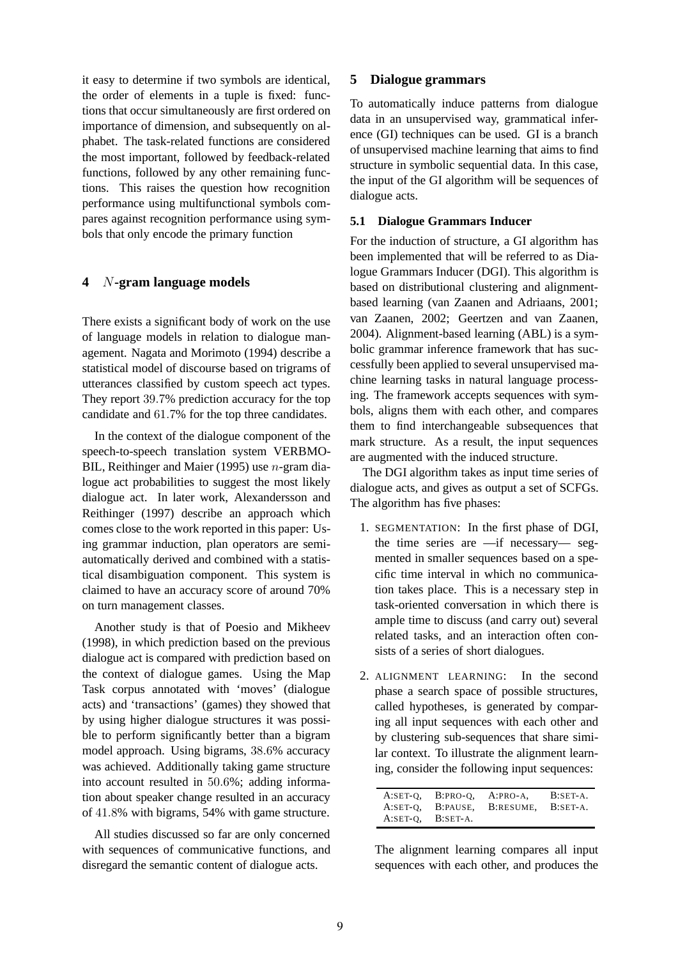it easy to determine if two symbols are identical, the order of elements in a tuple is fixed: functions that occur simultaneously are first ordered on importance of dimension, and subsequently on alphabet. The task-related functions are considered the most important, followed by feedback-related functions, followed by any other remaining functions. This raises the question how recognition performance using multifunctional symbols compares against recognition performance using symbols that only encode the primary function

## **4** N**-gram language models**

There exists a significant body of work on the use of language models in relation to dialogue management. Nagata and Morimoto (1994) describe a statistical model of discourse based on trigrams of utterances classified by custom speech act types. They report 39.7% prediction accuracy for the top candidate and 61.7% for the top three candidates.

In the context of the dialogue component of the speech-to-speech translation system VERBMO-BIL, Reithinger and Maier (1995) use n-gram dialogue act probabilities to suggest the most likely dialogue act. In later work, Alexandersson and Reithinger (1997) describe an approach which comes close to the work reported in this paper: Using grammar induction, plan operators are semiautomatically derived and combined with a statistical disambiguation component. This system is claimed to have an accuracy score of around 70% on turn management classes.

Another study is that of Poesio and Mikheev (1998), in which prediction based on the previous dialogue act is compared with prediction based on the context of dialogue games. Using the Map Task corpus annotated with 'moves' (dialogue acts) and 'transactions' (games) they showed that by using higher dialogue structures it was possible to perform significantly better than a bigram model approach. Using bigrams, 38.6% accuracy was achieved. Additionally taking game structure into account resulted in 50.6%; adding information about speaker change resulted in an accuracy of 41.8% with bigrams, 54% with game structure.

All studies discussed so far are only concerned with sequences of communicative functions, and disregard the semantic content of dialogue acts.

## **5 Dialogue grammars**

To automatically induce patterns from dialogue data in an unsupervised way, grammatical inference (GI) techniques can be used. GI is a branch of unsupervised machine learning that aims to find structure in symbolic sequential data. In this case, the input of the GI algorithm will be sequences of dialogue acts.

## **5.1 Dialogue Grammars Inducer**

For the induction of structure, a GI algorithm has been implemented that will be referred to as Dialogue Grammars Inducer (DGI). This algorithm is based on distributional clustering and alignmentbased learning (van Zaanen and Adriaans, 2001; van Zaanen, 2002; Geertzen and van Zaanen, 2004). Alignment-based learning (ABL) is a symbolic grammar inference framework that has successfully been applied to several unsupervised machine learning tasks in natural language processing. The framework accepts sequences with symbols, aligns them with each other, and compares them to find interchangeable subsequences that mark structure. As a result, the input sequences are augmented with the induced structure.

The DGI algorithm takes as input time series of dialogue acts, and gives as output a set of SCFGs. The algorithm has five phases:

- 1. SEGMENTATION: In the first phase of DGI, the time series are —if necessary— segmented in smaller sequences based on a specific time interval in which no communication takes place. This is a necessary step in task-oriented conversation in which there is ample time to discuss (and carry out) several related tasks, and an interaction often consists of a series of short dialogues.
- 2. ALIGNMENT LEARNING: In the second phase a search space of possible structures, called hypotheses, is generated by comparing all input sequences with each other and by clustering sub-sequences that share similar context. To illustrate the alignment learning, consider the following input sequences:

| A:SET-O,   | $B:PRO-O.$ | A:PRO-A,           | $B:SET-A.$ |
|------------|------------|--------------------|------------|
| $A:SET-0$  |            | B:PAUSE, B:RESUME, | B:SET-A.   |
| $A:SET-O.$ | B:SET-A.   |                    |            |

The alignment learning compares all input sequences with each other, and produces the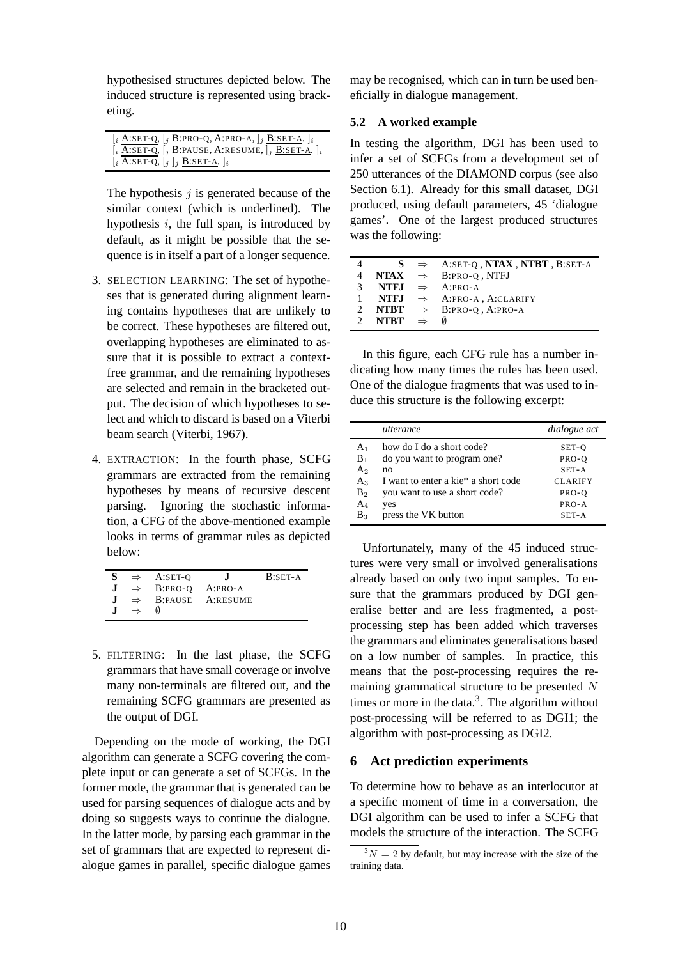hypothesised structures depicted below. The induced structure is represented using bracketing.

| $[i \text{ A:SET-Q}, [i \text{ B:PRO-Q}, \text{ A:PRO-A}, ]i \text{ B:SET-A}.]i$                                                                                                               |
|------------------------------------------------------------------------------------------------------------------------------------------------------------------------------------------------|
| $\left[\begin{array}{cc} \overline{i} & A:SET-Q, \end{array}\right]$ [ $\left[\begin{array}{cc} B:PAUSE, A:RESUME, \end{array}\right]$ $\left[\begin{array}{cc} B:SET-A. \end{array}\right]$ i |
| $[i \overline{A:SET-Q}, [j]j \overline{B:SET-A}.]i$                                                                                                                                            |

The hypothesis  $j$  is generated because of the similar context (which is underlined). The hypothesis  $i$ , the full span, is introduced by default, as it might be possible that the sequence is in itself a part of a longer sequence.

- 3. SELECTION LEARNING: The set of hypotheses that is generated during alignment learning contains hypotheses that are unlikely to be correct. These hypotheses are filtered out, overlapping hypotheses are eliminated to assure that it is possible to extract a contextfree grammar, and the remaining hypotheses are selected and remain in the bracketed output. The decision of which hypotheses to select and which to discard is based on a Viterbi beam search (Viterbi, 1967).
- 4. EXTRACTION: In the fourth phase, SCFG grammars are extracted from the remaining hypotheses by means of recursive descent parsing. Ignoring the stochastic information, a CFG of the above-mentioned example looks in terms of grammar rules as depicted below:

| S.           |               | $\Rightarrow$ A:SET-O                   | $\mathbf{I}$                   | $B:SET-A$ |
|--------------|---------------|-----------------------------------------|--------------------------------|-----------|
|              |               | $J \Rightarrow B:PRO-O \text{ A:PRO-A}$ |                                |           |
| $\mathbf{J}$ |               |                                         | $\Rightarrow$ B:PAUSE A:RESUME |           |
|              | $\Rightarrow$ |                                         |                                |           |

5. FILTERING: In the last phase, the SCFG grammars that have small coverage or involve many non-terminals are filtered out, and the remaining SCFG grammars are presented as the output of DGI.

Depending on the mode of working, the DGI algorithm can generate a SCFG covering the complete input or can generate a set of SCFGs. In the former mode, the grammar that is generated can be used for parsing sequences of dialogue acts and by doing so suggests ways to continue the dialogue. In the latter mode, by parsing each grammar in the set of grammars that are expected to represent dialogue games in parallel, specific dialogue games may be recognised, which can in turn be used beneficially in dialogue management.

### **5.2 A worked example**

In testing the algorithm, DGI has been used to infer a set of SCFGs from a development set of 250 utterances of the DIAMOND corpus (see also Section 6.1). Already for this small dataset, DGI produced, using default parameters, 45 'dialogue games'. One of the largest produced structures was the following:

| 4             |                      | $S \Rightarrow$ A:SET-O, <b>NTAX</b> , <b>NTBT</b> , B:SET-A |
|---------------|----------------------|--------------------------------------------------------------|
| 4             |                      | $NTAX$ $\Rightarrow$ B:PRO-O, NTFJ                           |
| $\mathcal{E}$ |                      | <b>NTE.I</b> $\Rightarrow$ A:PRO-A                           |
|               |                      | <b>NTFJ</b> $\Rightarrow$ A:PRO-A, A:CLARIFY                 |
| $\mathcal{L}$ |                      | <b>NTBT</b> $\Rightarrow$ B:PRO-O, A:PRO-A                   |
|               | 2 NTBT $\Rightarrow$ | M                                                            |

In this figure, each CFG rule has a number indicating how many times the rules has been used. One of the dialogue fragments that was used to induce this structure is the following excerpt:

|                | utterance                           | dialogue act   |
|----------------|-------------------------------------|----------------|
| A <sub>1</sub> | how do I do a short code?           | SET-O          |
| $B_1$          | do you want to program one?         | PRO-O          |
| A <sub>2</sub> | no                                  | SET-A          |
| $A_3$          | I want to enter a kie* a short code | <b>CLARIFY</b> |
| B <sub>2</sub> | you want to use a short code?       | PRO-O          |
| $A_4$          | yes                                 | $PRO-A$        |
| $B_3$          | press the VK button                 | SET-A          |

Unfortunately, many of the 45 induced structures were very small or involved generalisations already based on only two input samples. To ensure that the grammars produced by DGI generalise better and are less fragmented, a postprocessing step has been added which traverses the grammars and eliminates generalisations based on a low number of samples. In practice, this means that the post-processing requires the remaining grammatical structure to be presented N times or more in the data.<sup>3</sup>. The algorithm without post-processing will be referred to as DGI1; the algorithm with post-processing as DGI2.

## **6 Act prediction experiments**

To determine how to behave as an interlocutor at a specific moment of time in a conversation, the DGI algorithm can be used to infer a SCFG that models the structure of the interaction. The SCFG

 $3N = 2$  by default, but may increase with the size of the training data.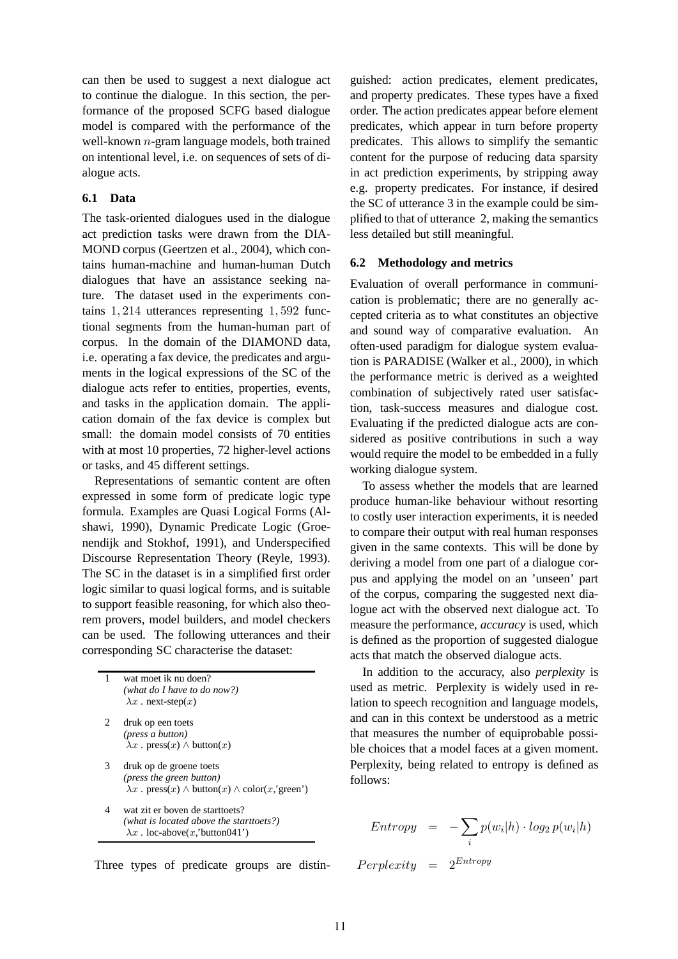can then be used to suggest a next dialogue act to continue the dialogue. In this section, the performance of the proposed SCFG based dialogue model is compared with the performance of the well-known n-gram language models, both trained on intentional level, i.e. on sequences of sets of dialogue acts.

### **6.1 Data**

The task-oriented dialogues used in the dialogue act prediction tasks were drawn from the DIA-MOND corpus (Geertzen et al., 2004), which contains human-machine and human-human Dutch dialogues that have an assistance seeking nature. The dataset used in the experiments contains 1, 214 utterances representing 1, 592 functional segments from the human-human part of corpus. In the domain of the DIAMOND data, i.e. operating a fax device, the predicates and arguments in the logical expressions of the SC of the dialogue acts refer to entities, properties, events, and tasks in the application domain. The application domain of the fax device is complex but small: the domain model consists of 70 entities with at most 10 properties, 72 higher-level actions or tasks, and 45 different settings.

Representations of semantic content are often expressed in some form of predicate logic type formula. Examples are Quasi Logical Forms (Alshawi, 1990), Dynamic Predicate Logic (Groenendijk and Stokhof, 1991), and Underspecified Discourse Representation Theory (Reyle, 1993). The SC in the dataset is in a simplified first order logic similar to quasi logical forms, and is suitable to support feasible reasoning, for which also theorem provers, model builders, and model checkers can be used. The following utterances and their corresponding SC characterise the dataset:

| 1 | wat moet ik nu doen?<br>(what do I have to do now?)<br>$\lambda x$ . next-step $(x)$                                                      |
|---|-------------------------------------------------------------------------------------------------------------------------------------------|
| 2 | druk op een toets<br>( <i>press a button</i> )<br>$\lambda x$ . press $(x) \wedge$ button $(x)$                                           |
| 3 | druk op de groene toets<br>( <i>press the green button</i> )<br>$\lambda x$ . press $(x) \wedge$ button $(x) \wedge$ color $(x, 'green')$ |

wat zit er boven de starttoets? *(what is located above the starttoets?)*  $\lambda x$ . loc-above(x,'button041')



guished: action predicates, element predicates, and property predicates. These types have a fixed order. The action predicates appear before element predicates, which appear in turn before property predicates. This allows to simplify the semantic content for the purpose of reducing data sparsity in act prediction experiments, by stripping away e.g. property predicates. For instance, if desired the SC of utterance 3 in the example could be simplified to that of utterance 2, making the semantics less detailed but still meaningful.

#### **6.2 Methodology and metrics**

Evaluation of overall performance in communication is problematic; there are no generally accepted criteria as to what constitutes an objective and sound way of comparative evaluation. An often-used paradigm for dialogue system evaluation is PARADISE (Walker et al., 2000), in which the performance metric is derived as a weighted combination of subjectively rated user satisfaction, task-success measures and dialogue cost. Evaluating if the predicted dialogue acts are considered as positive contributions in such a way would require the model to be embedded in a fully working dialogue system.

To assess whether the models that are learned produce human-like behaviour without resorting to costly user interaction experiments, it is needed to compare their output with real human responses given in the same contexts. This will be done by deriving a model from one part of a dialogue corpus and applying the model on an 'unseen' part of the corpus, comparing the suggested next dialogue act with the observed next dialogue act. To measure the performance, *accuracy* is used, which is defined as the proportion of suggested dialogue acts that match the observed dialogue acts.

In addition to the accuracy, also *perplexity* is used as metric. Perplexity is widely used in relation to speech recognition and language models, and can in this context be understood as a metric that measures the number of equiprobable possible choices that a model faces at a given moment. Perplexity, being related to entropy is defined as follows:

$$
Entropy = -\sum_{i} p(w_i|h) \cdot log_2 p(w_i|h)
$$

 $Perplexity = 2^{Entropy}$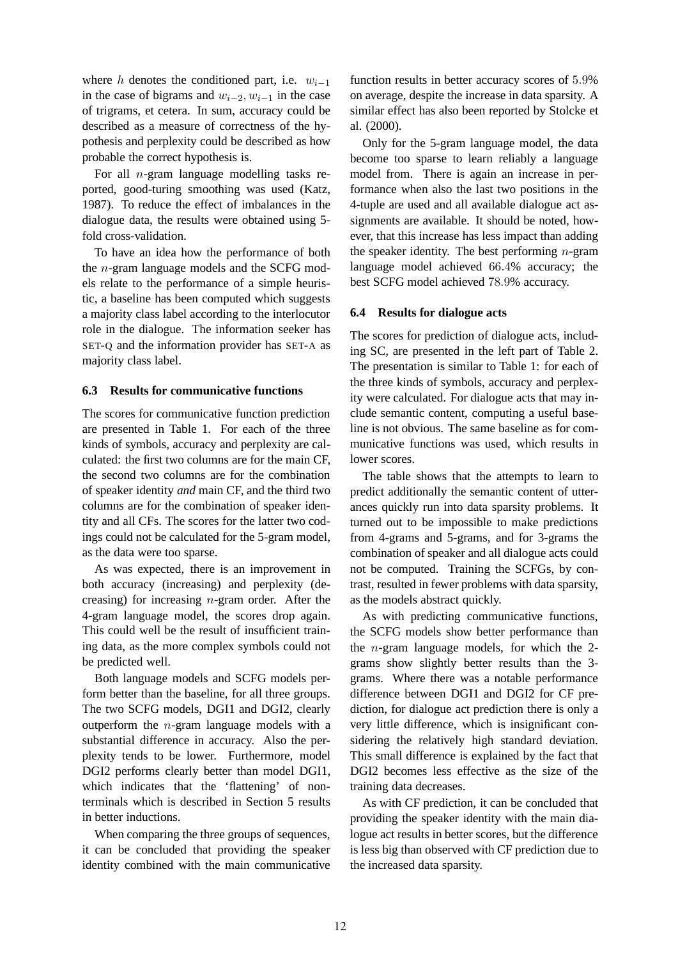where h denotes the conditioned part, i.e.  $w_{i-1}$ in the case of bigrams and  $w_{i-2}, w_{i-1}$  in the case of trigrams, et cetera. In sum, accuracy could be described as a measure of correctness of the hypothesis and perplexity could be described as how probable the correct hypothesis is.

For all n-gram language modelling tasks reported, good-turing smoothing was used (Katz, 1987). To reduce the effect of imbalances in the dialogue data, the results were obtained using 5 fold cross-validation.

To have an idea how the performance of both the n-gram language models and the SCFG models relate to the performance of a simple heuristic, a baseline has been computed which suggests a majority class label according to the interlocutor role in the dialogue. The information seeker has SET-Q and the information provider has SET-A as majority class label.

#### **6.3 Results for communicative functions**

The scores for communicative function prediction are presented in Table 1. For each of the three kinds of symbols, accuracy and perplexity are calculated: the first two columns are for the main CF, the second two columns are for the combination of speaker identity *and* main CF, and the third two columns are for the combination of speaker identity and all CFs. The scores for the latter two codings could not be calculated for the 5-gram model, as the data were too sparse.

As was expected, there is an improvement in both accuracy (increasing) and perplexity (decreasing) for increasing  $n$ -gram order. After the 4-gram language model, the scores drop again. This could well be the result of insufficient training data, as the more complex symbols could not be predicted well.

Both language models and SCFG models perform better than the baseline, for all three groups. The two SCFG models, DGI1 and DGI2, clearly outperform the n-gram language models with a substantial difference in accuracy. Also the perplexity tends to be lower. Furthermore, model DGI2 performs clearly better than model DGI1, which indicates that the 'flattening' of nonterminals which is described in Section 5 results in better inductions.

When comparing the three groups of sequences, it can be concluded that providing the speaker identity combined with the main communicative function results in better accuracy scores of 5.9% on average, despite the increase in data sparsity. A similar effect has also been reported by Stolcke et al. (2000).

Only for the 5-gram language model, the data become too sparse to learn reliably a language model from. There is again an increase in performance when also the last two positions in the 4-tuple are used and all available dialogue act assignments are available. It should be noted, however, that this increase has less impact than adding the speaker identity. The best performing  $n$ -gram language model achieved 66.4% accuracy; the best SCFG model achieved 78.9% accuracy.

#### **6.4 Results for dialogue acts**

The scores for prediction of dialogue acts, including SC, are presented in the left part of Table 2. The presentation is similar to Table 1: for each of the three kinds of symbols, accuracy and perplexity were calculated. For dialogue acts that may include semantic content, computing a useful baseline is not obvious. The same baseline as for communicative functions was used, which results in lower scores.

The table shows that the attempts to learn to predict additionally the semantic content of utterances quickly run into data sparsity problems. It turned out to be impossible to make predictions from 4-grams and 5-grams, and for 3-grams the combination of speaker and all dialogue acts could not be computed. Training the SCFGs, by contrast, resulted in fewer problems with data sparsity, as the models abstract quickly.

As with predicting communicative functions, the SCFG models show better performance than the n-gram language models, for which the 2 grams show slightly better results than the 3 grams. Where there was a notable performance difference between DGI1 and DGI2 for CF prediction, for dialogue act prediction there is only a very little difference, which is insignificant considering the relatively high standard deviation. This small difference is explained by the fact that DGI2 becomes less effective as the size of the training data decreases.

As with CF prediction, it can be concluded that providing the speaker identity with the main dialogue act results in better scores, but the difference is less big than observed with CF prediction due to the increased data sparsity.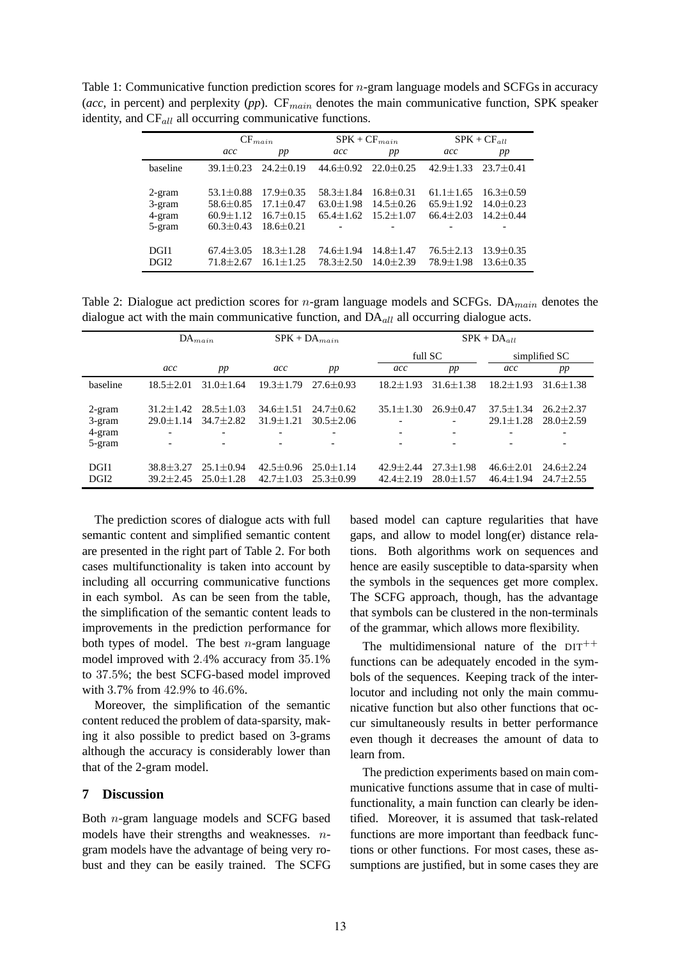Table 1: Communicative function prediction scores for *n*-gram language models and SCFGs in accuracy (acc, in percent) and perplexity (pp). CF<sub>main</sub> denotes the main communicative function, SPK speaker identity, and  $CF_{all}$  all occurring communicative functions.

|                                      | $CF_{main}$                                                          |                                                                  | $SPK + CF_{main}$                                 |                                                 | $SPK + CF_{all}$                                    |                                                 |  |
|--------------------------------------|----------------------------------------------------------------------|------------------------------------------------------------------|---------------------------------------------------|-------------------------------------------------|-----------------------------------------------------|-------------------------------------------------|--|
|                                      | acc                                                                  | pp                                                               | acc                                               | pp                                              | acc                                                 | pp                                              |  |
| baseline                             | $39.1 + 0.23$                                                        | $24.2 + 0.19$                                                    | $44.6 + 0.92$                                     | $22.0 + 0.25$                                   | $42.9 + 1.33$                                       | $23.7 + 0.41$                                   |  |
| 2-gram<br>3-gram<br>4-gram<br>5-gram | $53.1 + 0.88$<br>$58.6 \pm 0.85$<br>$60.9 \pm 1.12$<br>$60.3 + 0.43$ | $17.9 + 0.35$<br>$17.1 + 0.47$<br>$16.7 + 0.15$<br>$18.6 + 0.21$ | $58.3 + 1.84$<br>$63.0 + 1.98$<br>$65.4 \pm 1.62$ | $16.8 + 0.31$<br>$14.5 + 0.26$<br>$15.2 + 1.07$ | $61.1 + 1.65$<br>$65.9 \pm 1.92$<br>$66.4 \pm 2.03$ | $16.3 + 0.59$<br>$14.0 + 0.23$<br>$14.2 + 0.44$ |  |
| DGI1<br>DGI <sub>2</sub>             | $67.4 + 3.05$<br>$71.8 + 2.67$                                       | $18.3 + 1.28$<br>$16.1 + 1.25$                                   | $74.6 + 1.94$<br>$78.3 + 2.50$                    | $14.8 + 1.47$<br>$14.0 + 2.39$                  | $76.5 \pm 2.13$<br>$78.9 \pm 1.98$                  | $13.9 \pm 0.35$<br>$13.6 + 0.35$                |  |

Table 2: Dialogue act prediction scores for  $n$ -gram language models and SCFGs. DA<sub>main</sub> denotes the dialogue act with the main communicative function, and  $DA<sub>all</sub>$  all occurring dialogue acts.

|                            | $DA_{main}$                                                |                                                                | $SPK + DA_{main}$              |                                |                                | $SPK + DA_{all}$               |                                |                                       |  |
|----------------------------|------------------------------------------------------------|----------------------------------------------------------------|--------------------------------|--------------------------------|--------------------------------|--------------------------------|--------------------------------|---------------------------------------|--|
|                            |                                                            |                                                                |                                |                                |                                | full SC                        |                                | simplified SC                         |  |
|                            | acc                                                        | pp                                                             | acc                            | pp                             | acc                            | pp                             | acc                            | pp                                    |  |
| baseline                   | $18.5 + 2.01$                                              | $31.0 + 1.64$                                                  | $19.3 + 1.79$                  | $27.6 + 0.93$                  | $18.2 + 1.93$                  | $31.6 + 1.38$                  | $18.2 + 1.93$                  | $31.6 + 1.38$                         |  |
| 2-gram<br>3-gram<br>4-gram | $31.2 + 1.42$<br>$29.0 + 1.14$<br>$\overline{\phantom{a}}$ | $28.5 \pm 1.03$<br>$34.7 \pm 2.82$<br>$\overline{\phantom{a}}$ | $34.6 + 1.51$<br>$31.9 + 1.21$ | $24.7 + 0.62$<br>$30.5 + 2.06$ | $35.1 + 1.30$<br>-<br>-        | $26.9 + 0.47$<br>-             | $37.5 + 1.34$<br>$29.1 + 1.28$ | $26.2 + 2.37$<br>$28.0 \pm 2.59$<br>۰ |  |
| 5-gram                     | $\overline{\phantom{a}}$                                   | $\overline{\phantom{a}}$                                       |                                | $\overline{\phantom{a}}$       | -                              | -                              |                                | -                                     |  |
| DGI1<br>DGI <sub>2</sub>   | $38.8 + 3.27$<br>$39.2 + 2.45$                             | $25.1 + 0.94$<br>$25.0 + 1.28$                                 | $42.5 + 0.96$<br>$42.7 + 1.03$ | $25.0 + 1.14$<br>$25.3 + 0.99$ | $42.9 + 2.44$<br>$42.4 + 2.19$ | $27.3 + 1.98$<br>$28.0 + 1.57$ | $46.6 + 2.01$<br>$46.4 + 1.94$ | $24.6 + 2.24$<br>$24.7 + 2.55$        |  |

The prediction scores of dialogue acts with full semantic content and simplified semantic content are presented in the right part of Table 2. For both cases multifunctionality is taken into account by including all occurring communicative functions in each symbol. As can be seen from the table, the simplification of the semantic content leads to improvements in the prediction performance for both types of model. The best  $n$ -gram language model improved with 2.4% accuracy from 35.1% to 37.5%; the best SCFG-based model improved with 3.7% from 42.9% to 46.6%.

Moreover, the simplification of the semantic content reduced the problem of data-sparsity, making it also possible to predict based on 3-grams although the accuracy is considerably lower than that of the 2-gram model.

## **7 Discussion**

Both n-gram language models and SCFG based models have their strengths and weaknesses. ngram models have the advantage of being very robust and they can be easily trained. The SCFG based model can capture regularities that have gaps, and allow to model long(er) distance relations. Both algorithms work on sequences and hence are easily susceptible to data-sparsity when the symbols in the sequences get more complex. The SCFG approach, though, has the advantage that symbols can be clustered in the non-terminals of the grammar, which allows more flexibility.

The multidimensional nature of the  $DT^{++}$ functions can be adequately encoded in the symbols of the sequences. Keeping track of the interlocutor and including not only the main communicative function but also other functions that occur simultaneously results in better performance even though it decreases the amount of data to learn from.

The prediction experiments based on main communicative functions assume that in case of multifunctionality, a main function can clearly be identified. Moreover, it is assumed that task-related functions are more important than feedback functions or other functions. For most cases, these assumptions are justified, but in some cases they are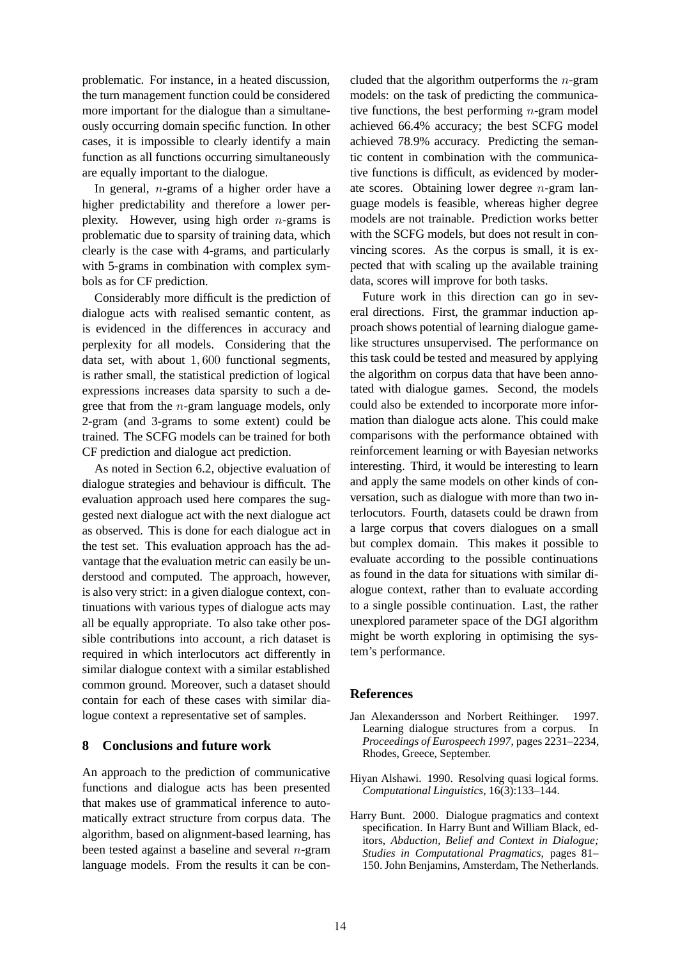problematic. For instance, in a heated discussion, the turn management function could be considered more important for the dialogue than a simultaneously occurring domain specific function. In other cases, it is impossible to clearly identify a main function as all functions occurring simultaneously are equally important to the dialogue.

In general,  $n$ -grams of a higher order have a higher predictability and therefore a lower perplexity. However, using high order  $n$ -grams is problematic due to sparsity of training data, which clearly is the case with 4-grams, and particularly with 5-grams in combination with complex symbols as for CF prediction.

Considerably more difficult is the prediction of dialogue acts with realised semantic content, as is evidenced in the differences in accuracy and perplexity for all models. Considering that the data set, with about 1, 600 functional segments, is rather small, the statistical prediction of logical expressions increases data sparsity to such a degree that from the n-gram language models, only 2-gram (and 3-grams to some extent) could be trained. The SCFG models can be trained for both CF prediction and dialogue act prediction.

As noted in Section 6.2, objective evaluation of dialogue strategies and behaviour is difficult. The evaluation approach used here compares the suggested next dialogue act with the next dialogue act as observed. This is done for each dialogue act in the test set. This evaluation approach has the advantage that the evaluation metric can easily be understood and computed. The approach, however, is also very strict: in a given dialogue context, continuations with various types of dialogue acts may all be equally appropriate. To also take other possible contributions into account, a rich dataset is required in which interlocutors act differently in similar dialogue context with a similar established common ground. Moreover, such a dataset should contain for each of these cases with similar dialogue context a representative set of samples.

### **8 Conclusions and future work**

An approach to the prediction of communicative functions and dialogue acts has been presented that makes use of grammatical inference to automatically extract structure from corpus data. The algorithm, based on alignment-based learning, has been tested against a baseline and several  $n$ -gram language models. From the results it can be concluded that the algorithm outperforms the  $n$ -gram models: on the task of predicting the communicative functions, the best performing  $n$ -gram model achieved 66.4% accuracy; the best SCFG model achieved 78.9% accuracy. Predicting the semantic content in combination with the communicative functions is difficult, as evidenced by moderate scores. Obtaining lower degree n-gram language models is feasible, whereas higher degree models are not trainable. Prediction works better with the SCFG models, but does not result in convincing scores. As the corpus is small, it is expected that with scaling up the available training data, scores will improve for both tasks.

Future work in this direction can go in several directions. First, the grammar induction approach shows potential of learning dialogue gamelike structures unsupervised. The performance on this task could be tested and measured by applying the algorithm on corpus data that have been annotated with dialogue games. Second, the models could also be extended to incorporate more information than dialogue acts alone. This could make comparisons with the performance obtained with reinforcement learning or with Bayesian networks interesting. Third, it would be interesting to learn and apply the same models on other kinds of conversation, such as dialogue with more than two interlocutors. Fourth, datasets could be drawn from a large corpus that covers dialogues on a small but complex domain. This makes it possible to evaluate according to the possible continuations as found in the data for situations with similar dialogue context, rather than to evaluate according to a single possible continuation. Last, the rather unexplored parameter space of the DGI algorithm might be worth exploring in optimising the system's performance.

#### **References**

- Jan Alexandersson and Norbert Reithinger. 1997. Learning dialogue structures from a corpus. In *Proceedings of Eurospeech 1997*, pages 2231–2234, Rhodes, Greece, September.
- Hiyan Alshawi. 1990. Resolving quasi logical forms. *Computational Linguistics*, 16(3):133–144.
- Harry Bunt. 2000. Dialogue pragmatics and context specification. In Harry Bunt and William Black, editors, *Abduction, Belief and Context in Dialogue; Studies in Computational Pragmatics*, pages 81– 150. John Benjamins, Amsterdam, The Netherlands.